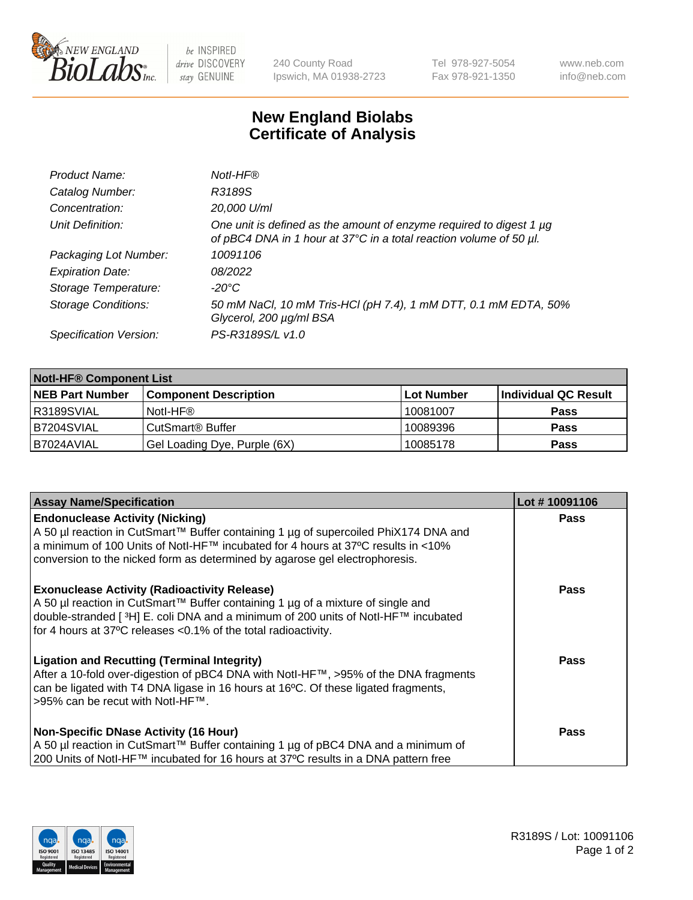

 $be$  INSPIRED drive DISCOVERY stay GENUINE

240 County Road Ipswich, MA 01938-2723 Tel 978-927-5054 Fax 978-921-1350 www.neb.com info@neb.com

## **New England Biolabs Certificate of Analysis**

| Product Name:              | Notl-HF®                                                                                                                                  |
|----------------------------|-------------------------------------------------------------------------------------------------------------------------------------------|
| Catalog Number:            | R3189S                                                                                                                                    |
| Concentration:             | 20,000 U/ml                                                                                                                               |
| Unit Definition:           | One unit is defined as the amount of enzyme required to digest 1 µg<br>of pBC4 DNA in 1 hour at 37°C in a total reaction volume of 50 µl. |
| Packaging Lot Number:      | 10091106                                                                                                                                  |
| <b>Expiration Date:</b>    | 08/2022                                                                                                                                   |
| Storage Temperature:       | $-20^{\circ}$ C                                                                                                                           |
| <b>Storage Conditions:</b> | 50 mM NaCl, 10 mM Tris-HCl (pH 7.4), 1 mM DTT, 0.1 mM EDTA, 50%<br>Glycerol, 200 µg/ml BSA                                                |
| Specification Version:     | PS-R3189S/L v1.0                                                                                                                          |

| <b>Notl-HF® Component List</b> |                              |            |                      |  |
|--------------------------------|------------------------------|------------|----------------------|--|
| <b>NEB Part Number</b>         | <b>Component Description</b> | Lot Number | Individual QC Result |  |
| R3189SVIAL                     | Notl-HF®                     | 10081007   | <b>Pass</b>          |  |
| B7204SVIAL                     | CutSmart <sup>®</sup> Buffer | 10089396   | <b>Pass</b>          |  |
| B7024AVIAL                     | Gel Loading Dye, Purple (6X) | 10085178   | <b>Pass</b>          |  |

| Lot #10091106 |
|---------------|
| <b>Pass</b>   |
|               |
| Pass          |
| Pass          |
| <b>Pass</b>   |
|               |